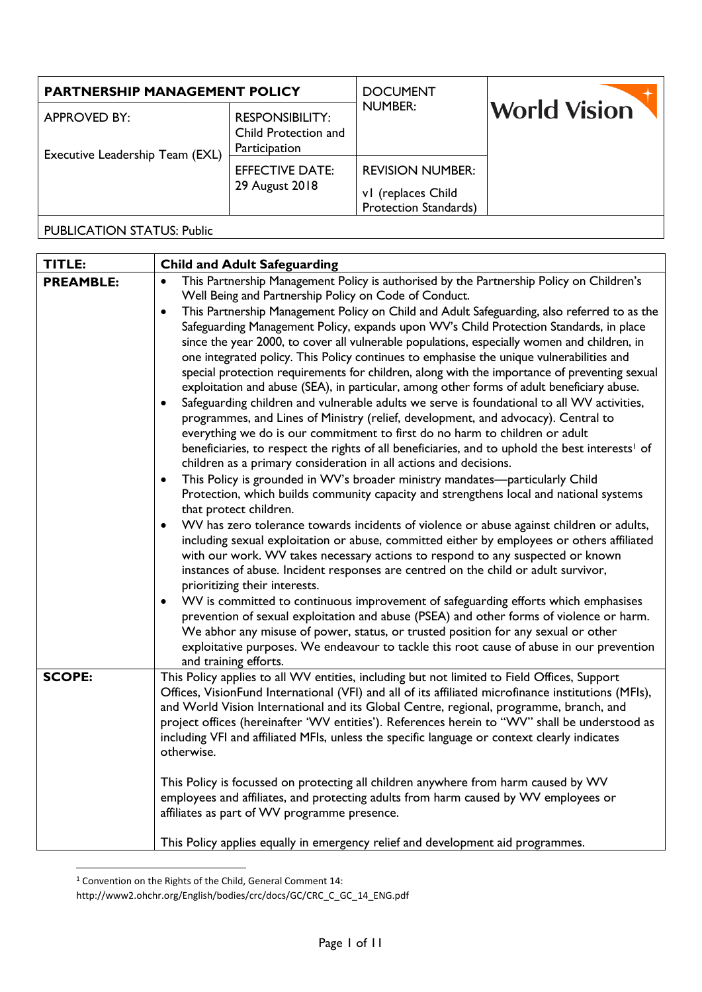| <b>PARTNERSHIP MANAGEMENT POLICY</b>                   |                                                                 | <b>DOCUMENT</b>                                                               |                     |
|--------------------------------------------------------|-----------------------------------------------------------------|-------------------------------------------------------------------------------|---------------------|
| <b>APPROVED BY:</b><br>Executive Leadership Team (EXL) | <b>RESPONSIBILITY:</b><br>Child Protection and<br>Participation | <b>NUMBER:</b>                                                                | <b>World Vision</b> |
|                                                        | <b>EFFECTIVE DATE:</b><br>29 August 2018                        | <b>REVISION NUMBER:</b><br>v1 (replaces Child<br><b>Protection Standards)</b> |                     |

# PUBLICATION STATUS: Public

| <b>TITLE:</b>    | <b>Child and Adult Safeguarding</b>                                                                                                                                                                                                                                                                                                                                                                                                                                                                                                                                                         |
|------------------|---------------------------------------------------------------------------------------------------------------------------------------------------------------------------------------------------------------------------------------------------------------------------------------------------------------------------------------------------------------------------------------------------------------------------------------------------------------------------------------------------------------------------------------------------------------------------------------------|
| <b>PREAMBLE:</b> | This Partnership Management Policy is authorised by the Partnership Policy on Children's<br>$\bullet$<br>Well Being and Partnership Policy on Code of Conduct.                                                                                                                                                                                                                                                                                                                                                                                                                              |
|                  | This Partnership Management Policy on Child and Adult Safeguarding, also referred to as the<br>$\bullet$<br>Safeguarding Management Policy, expands upon WV's Child Protection Standards, in place<br>since the year 2000, to cover all vulnerable populations, especially women and children, in<br>one integrated policy. This Policy continues to emphasise the unique vulnerabilities and<br>special protection requirements for children, along with the importance of preventing sexual<br>exploitation and abuse (SEA), in particular, among other forms of adult beneficiary abuse. |
|                  | Safeguarding children and vulnerable adults we serve is foundational to all WV activities,<br>$\bullet$<br>programmes, and Lines of Ministry (relief, development, and advocacy). Central to<br>everything we do is our commitment to first do no harm to children or adult<br>beneficiaries, to respect the rights of all beneficiaries, and to uphold the best interests <sup>1</sup> of<br>children as a primary consideration in all actions and decisions.                                                                                                                             |
|                  | This Policy is grounded in WV's broader ministry mandates—particularly Child<br>٠<br>Protection, which builds community capacity and strengthens local and national systems<br>that protect children.                                                                                                                                                                                                                                                                                                                                                                                       |
|                  | WV has zero tolerance towards incidents of violence or abuse against children or adults,<br>$\bullet$<br>including sexual exploitation or abuse, committed either by employees or others affiliated<br>with our work. WV takes necessary actions to respond to any suspected or known<br>instances of abuse. Incident responses are centred on the child or adult survivor,<br>prioritizing their interests.                                                                                                                                                                                |
|                  | WV is committed to continuous improvement of safeguarding efforts which emphasises<br>٠<br>prevention of sexual exploitation and abuse (PSEA) and other forms of violence or harm.<br>We abhor any misuse of power, status, or trusted position for any sexual or other<br>exploitative purposes. We endeavour to tackle this root cause of abuse in our prevention<br>and training efforts.                                                                                                                                                                                                |
| <b>SCOPE:</b>    | This Policy applies to all WV entities, including but not limited to Field Offices, Support<br>Offices, VisionFund International (VFI) and all of its affiliated microfinance institutions (MFIs),<br>and World Vision International and its Global Centre, regional, programme, branch, and<br>project offices (hereinafter 'WV entities'). References herein to "WV" shall be understood as<br>including VFI and affiliated MFIs, unless the specific language or context clearly indicates<br>otherwise.                                                                                 |
|                  | This Policy is focussed on protecting all children anywhere from harm caused by WV<br>employees and affiliates, and protecting adults from harm caused by WV employees or<br>affiliates as part of WV programme presence.                                                                                                                                                                                                                                                                                                                                                                   |
|                  | This Policy applies equally in emergency relief and development aid programmes.                                                                                                                                                                                                                                                                                                                                                                                                                                                                                                             |

<sup>1</sup> Convention on the Rights of the Child, General Comment 14:

1

http://www2.ohchr.org/English/bodies/crc/docs/GC/CRC\_C\_GC\_14\_ENG.pdf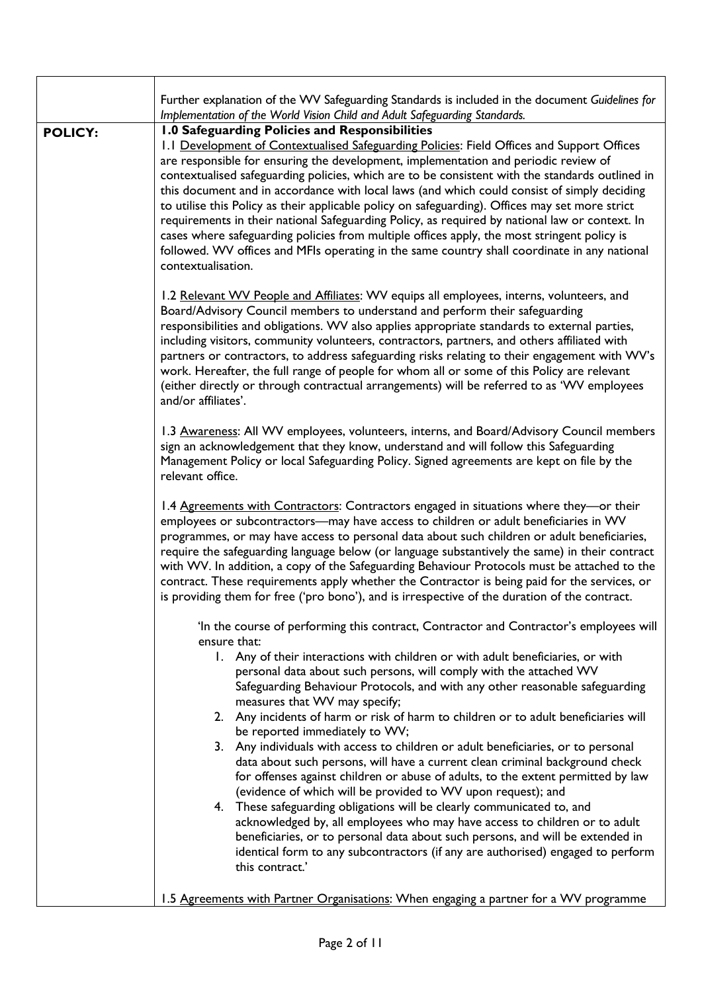|                | Further explanation of the WV Safeguarding Standards is included in the document Guidelines for<br>Implementation of the World Vision Child and Adult Safeguarding Standards.                                                                                                                                                                                                                                                                                                                                                                                                                                                                                                                                                                                                                                 |  |  |
|----------------|---------------------------------------------------------------------------------------------------------------------------------------------------------------------------------------------------------------------------------------------------------------------------------------------------------------------------------------------------------------------------------------------------------------------------------------------------------------------------------------------------------------------------------------------------------------------------------------------------------------------------------------------------------------------------------------------------------------------------------------------------------------------------------------------------------------|--|--|
| <b>POLICY:</b> | 1.0 Safeguarding Policies and Responsibilities                                                                                                                                                                                                                                                                                                                                                                                                                                                                                                                                                                                                                                                                                                                                                                |  |  |
|                | 1.1 Development of Contextualised Safeguarding Policies: Field Offices and Support Offices<br>are responsible for ensuring the development, implementation and periodic review of<br>contextualised safeguarding policies, which are to be consistent with the standards outlined in<br>this document and in accordance with local laws (and which could consist of simply deciding<br>to utilise this Policy as their applicable policy on safeguarding). Offices may set more strict<br>requirements in their national Safeguarding Policy, as required by national law or context. In<br>cases where safeguarding policies from multiple offices apply, the most stringent policy is<br>followed. WV offices and MFIs operating in the same country shall coordinate in any national<br>contextualisation. |  |  |
|                | 1.2 Relevant WV People and Affiliates: WV equips all employees, interns, volunteers, and<br>Board/Advisory Council members to understand and perform their safeguarding<br>responsibilities and obligations. WV also applies appropriate standards to external parties,<br>including visitors, community volunteers, contractors, partners, and others affiliated with<br>partners or contractors, to address safeguarding risks relating to their engagement with WV's<br>work. Hereafter, the full range of people for whom all or some of this Policy are relevant<br>(either directly or through contractual arrangements) will be referred to as 'WV employees<br>and/or affiliates'.                                                                                                                    |  |  |
|                | 1.3 Awareness: All WV employees, volunteers, interns, and Board/Advisory Council members<br>sign an acknowledgement that they know, understand and will follow this Safeguarding<br>Management Policy or local Safeguarding Policy. Signed agreements are kept on file by the<br>relevant office.                                                                                                                                                                                                                                                                                                                                                                                                                                                                                                             |  |  |
|                | 1.4 Agreements with Contractors: Contractors engaged in situations where they-or their<br>employees or subcontractors—may have access to children or adult beneficiaries in WV<br>programmes, or may have access to personal data about such children or adult beneficiaries,<br>require the safeguarding language below (or language substantively the same) in their contract<br>with WV. In addition, a copy of the Safeguarding Behaviour Protocols must be attached to the<br>contract. These requirements apply whether the Contractor is being paid for the services, or<br>is providing them for free ('pro bono'), and is irrespective of the duration of the contract.                                                                                                                              |  |  |
|                | 'In the course of performing this contract, Contractor and Contractor's employees will<br>ensure that:                                                                                                                                                                                                                                                                                                                                                                                                                                                                                                                                                                                                                                                                                                        |  |  |
|                | 1. Any of their interactions with children or with adult beneficiaries, or with<br>personal data about such persons, will comply with the attached WV<br>Safeguarding Behaviour Protocols, and with any other reasonable safeguarding<br>measures that WV may specify;<br>2. Any incidents of harm or risk of harm to children or to adult beneficiaries will<br>be reported immediately to WV;                                                                                                                                                                                                                                                                                                                                                                                                               |  |  |
|                | 3. Any individuals with access to children or adult beneficiaries, or to personal<br>data about such persons, will have a current clean criminal background check<br>for offenses against children or abuse of adults, to the extent permitted by law<br>(evidence of which will be provided to WV upon request); and                                                                                                                                                                                                                                                                                                                                                                                                                                                                                         |  |  |
|                | 4. These safeguarding obligations will be clearly communicated to, and<br>acknowledged by, all employees who may have access to children or to adult<br>beneficiaries, or to personal data about such persons, and will be extended in<br>identical form to any subcontractors (if any are authorised) engaged to perform<br>this contract.'                                                                                                                                                                                                                                                                                                                                                                                                                                                                  |  |  |
|                | 1.5 Agreements with Partner Organisations: When engaging a partner for a WV programme                                                                                                                                                                                                                                                                                                                                                                                                                                                                                                                                                                                                                                                                                                                         |  |  |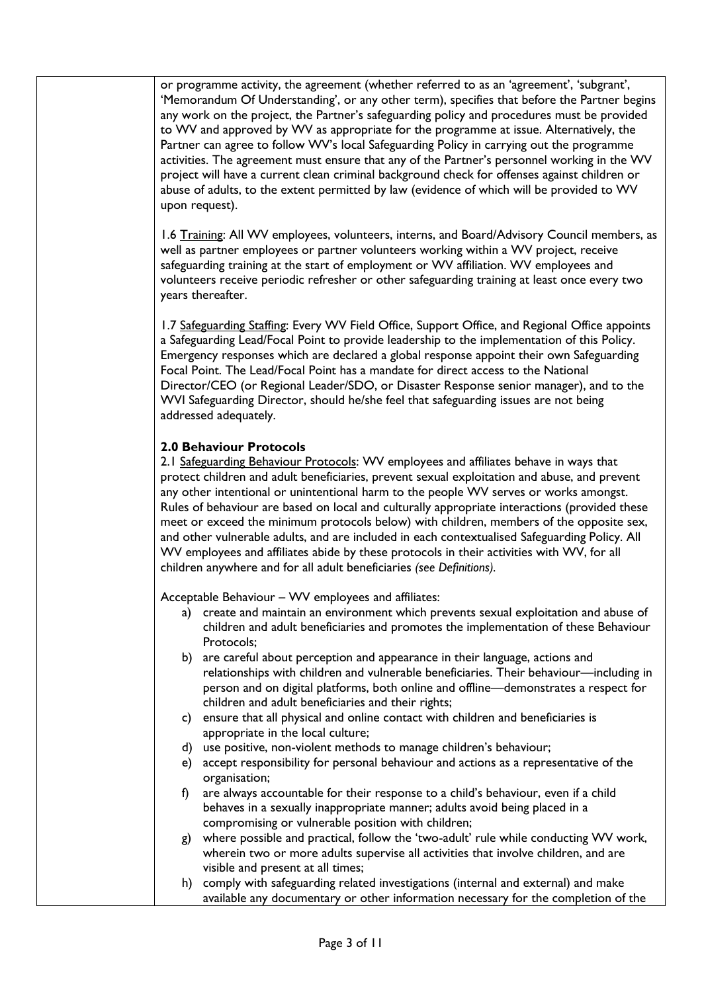or programme activity, the agreement (whether referred to as an 'agreement', 'subgrant', 'Memorandum Of Understanding', or any other term), specifies that before the Partner begins any work on the project, the Partner's safeguarding policy and procedures must be provided to WV and approved by WV as appropriate for the programme at issue. Alternatively, the Partner can agree to follow WV's local Safeguarding Policy in carrying out the programme activities. The agreement must ensure that any of the Partner's personnel working in the WV project will have a current clean criminal background check for offenses against children or abuse of adults, to the extent permitted by law (evidence of which will be provided to WV upon request).

1.6 Training: All WV employees, volunteers, interns, and Board/Advisory Council members, as well as partner employees or partner volunteers working within a WV project, receive safeguarding training at the start of employment or WV affiliation. WV employees and volunteers receive periodic refresher or other safeguarding training at least once every two years thereafter.

1.7 Safeguarding Staffing: Every WV Field Office, Support Office, and Regional Office appoints a Safeguarding Lead/Focal Point to provide leadership to the implementation of this Policy. Emergency responses which are declared a global response appoint their own Safeguarding Focal Point. The Lead/Focal Point has a mandate for direct access to the National Director/CEO (or Regional Leader/SDO, or Disaster Response senior manager), and to the WVI Safeguarding Director, should he/she feel that safeguarding issues are not being addressed adequately.

## **2.0 Behaviour Protocols**

2.1 Safeguarding Behaviour Protocols: WV employees and affiliates behave in ways that protect children and adult beneficiaries, prevent sexual exploitation and abuse, and prevent any other intentional or unintentional harm to the people WV serves or works amongst. Rules of behaviour are based on local and culturally appropriate interactions (provided these meet or exceed the minimum protocols below) with children, members of the opposite sex, and other vulnerable adults, and are included in each contextualised Safeguarding Policy. All WV employees and affiliates abide by these protocols in their activities with WV, for all children anywhere and for all adult beneficiaries *(see Definitions).*

Acceptable Behaviour – WV employees and affiliates:

- a) create and maintain an environment which prevents sexual exploitation and abuse of children and adult beneficiaries and promotes the implementation of these Behaviour Protocols;
- b) are careful about perception and appearance in their language, actions and relationships with children and vulnerable beneficiaries. Their behaviour—including in person and on digital platforms, both online and offline—demonstrates a respect for children and adult beneficiaries and their rights;
- c) ensure that all physical and online contact with children and beneficiaries is appropriate in the local culture;
- d) use positive, non-violent methods to manage children's behaviour;
- e) accept responsibility for personal behaviour and actions as a representative of the organisation;
- f) are always accountable for their response to a child's behaviour, even if a child behaves in a sexually inappropriate manner; adults avoid being placed in a compromising or vulnerable position with children;
- g) where possible and practical, follow the 'two-adult' rule while conducting WV work, wherein two or more adults supervise all activities that involve children, and are visible and present at all times;
- h) comply with safeguarding related investigations (internal and external) and make available any documentary or other information necessary for the completion of the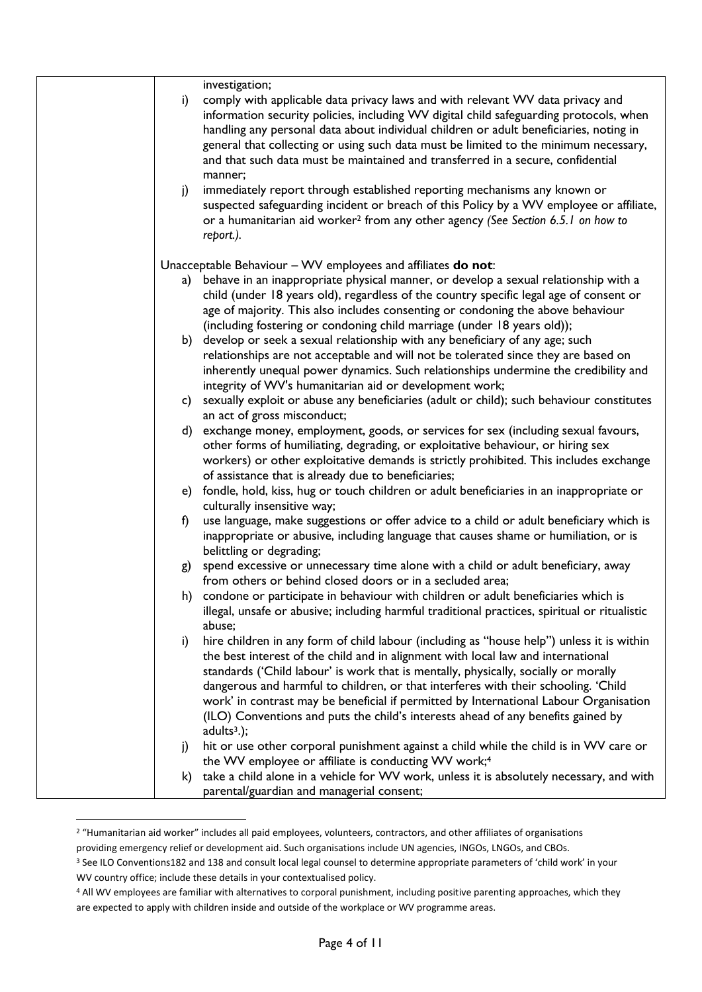|    | investigation;                                                                                |
|----|-----------------------------------------------------------------------------------------------|
| i) | comply with applicable data privacy laws and with relevant WV data privacy and                |
|    | information security policies, including WV digital child safeguarding protocols, when        |
|    | handling any personal data about individual children or adult beneficiaries, noting in        |
|    | general that collecting or using such data must be limited to the minimum necessary,          |
|    | and that such data must be maintained and transferred in a secure, confidential               |
|    | manner;                                                                                       |
| j) | immediately report through established reporting mechanisms any known or                      |
|    | suspected safeguarding incident or breach of this Policy by a WV employee or affiliate,       |
|    | or a humanitarian aid worker <sup>2</sup> from any other agency (See Section 6.5.1 on how to  |
|    |                                                                                               |
|    | report.).                                                                                     |
|    | Unacceptable Behaviour - WV employees and affiliates do not:                                  |
|    | a) behave in an inappropriate physical manner, or develop a sexual relationship with a        |
|    | child (under 18 years old), regardless of the country specific legal age of consent or        |
|    | age of majority. This also includes consenting or condoning the above behaviour               |
|    |                                                                                               |
|    | (including fostering or condoning child marriage (under 18 years old));                       |
|    | b) develop or seek a sexual relationship with any beneficiary of any age; such                |
|    | relationships are not acceptable and will not be tolerated since they are based on            |
|    | inherently unequal power dynamics. Such relationships undermine the credibility and           |
|    | integrity of WV's humanitarian aid or development work;                                       |
|    | c) sexually exploit or abuse any beneficiaries (adult or child); such behaviour constitutes   |
|    | an act of gross misconduct;                                                                   |
| d) | exchange money, employment, goods, or services for sex (including sexual favours,             |
|    | other forms of humiliating, degrading, or exploitative behaviour, or hiring sex               |
|    | workers) or other exploitative demands is strictly prohibited. This includes exchange         |
|    | of assistance that is already due to beneficiaries;                                           |
|    | e) fondle, hold, kiss, hug or touch children or adult beneficiaries in an inappropriate or    |
|    | culturally insensitive way;                                                                   |
| f) | use language, make suggestions or offer advice to a child or adult beneficiary which is       |
|    | inappropriate or abusive, including language that causes shame or humiliation, or is          |
|    | belittling or degrading;                                                                      |
|    | g) spend excessive or unnecessary time alone with a child or adult beneficiary, away          |
|    | from others or behind closed doors or in a secluded area;                                     |
| h) | condone or participate in behaviour with children or adult beneficiaries which is             |
|    | illegal, unsafe or abusive; including harmful traditional practices, spiritual or ritualistic |
|    | abuse;                                                                                        |
| i) | hire children in any form of child labour (including as "house help") unless it is within     |
|    |                                                                                               |
|    | the best interest of the child and in alignment with local law and international              |
|    | standards ('Child labour' is work that is mentally, physically, socially or morally           |
|    | dangerous and harmful to children, or that interferes with their schooling. 'Child            |
|    | work' in contrast may be beneficial if permitted by International Labour Organisation         |
|    | (ILO) Conventions and puts the child's interests ahead of any benefits gained by              |
|    | $adults3$ .);                                                                                 |
| j) | hit or use other corporal punishment against a child while the child is in WV care or         |
|    | the WV employee or affiliate is conducting WV work; <sup>4</sup>                              |
| k) | take a child alone in a vehicle for WV work, unless it is absolutely necessary, and with      |
|    | parental/guardian and managerial consent;                                                     |
|    |                                                                                               |

<sup>&</sup>lt;sup>2</sup> "Humanitarian aid worker" includes all paid employees, volunteers, contractors, and other affiliates of organisations

1

providing emergency relief or development aid. Such organisations include UN agencies, INGOs, LNGOs, and CBOs.

<sup>3</sup> See ILO Conventions182 and 138 and consult local legal counsel to determine appropriate parameters of 'child work' in your WV country office; include these details in your contextualised policy.

<sup>4</sup> All WV employees are familiar with alternatives to corporal punishment, including positive parenting approaches, which they are expected to apply with children inside and outside of the workplace or WV programme areas.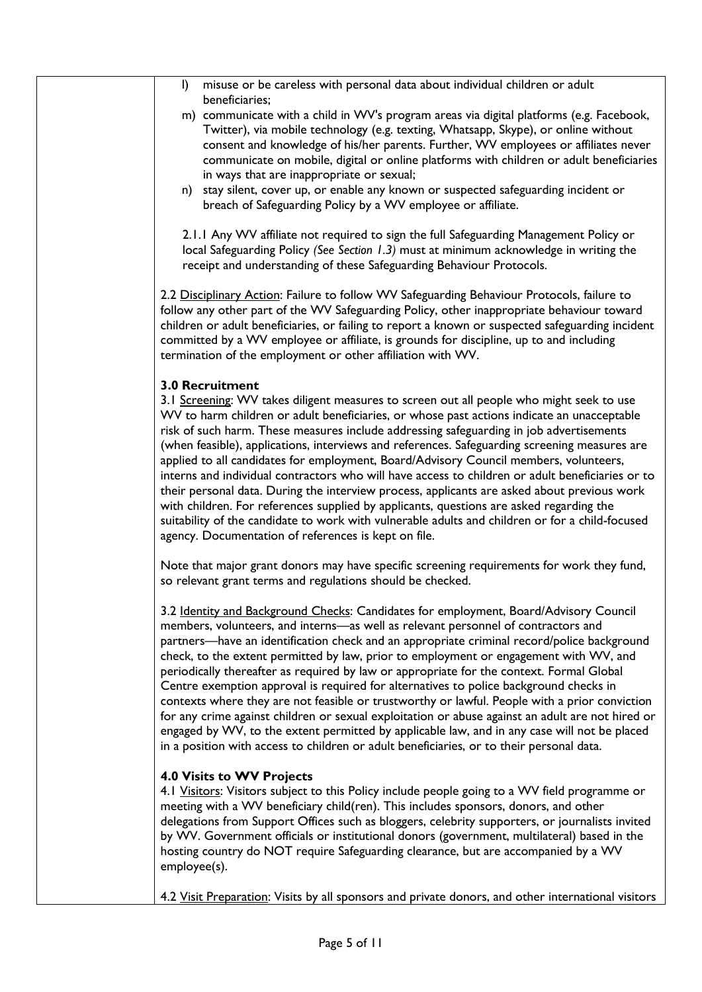- l) misuse or be careless with personal data about individual children or adult beneficiaries;
- m) communicate with a child in WV's program areas via digital platforms (e.g. Facebook, Twitter), via mobile technology (e.g. texting, Whatsapp, Skype), or online without consent and knowledge of his/her parents. Further, WV employees or affiliates never communicate on mobile, digital or online platforms with children or adult beneficiaries in ways that are inappropriate or sexual;
- n) stay silent, cover up, or enable any known or suspected safeguarding incident or breach of Safeguarding Policy by a WV employee or affiliate.

2.1.1 Any WV affiliate not required to sign the full Safeguarding Management Policy or local Safeguarding Policy *(See Section 1.3)* must at minimum acknowledge in writing the receipt and understanding of these Safeguarding Behaviour Protocols.

2.2 Disciplinary Action: Failure to follow WV Safeguarding Behaviour Protocols, failure to follow any other part of the WV Safeguarding Policy, other inappropriate behaviour toward children or adult beneficiaries, or failing to report a known or suspected safeguarding incident committed by a WV employee or affiliate, is grounds for discipline, up to and including termination of the employment or other affiliation with WV.

## **3.0 Recruitment**

3.1 Screening: WV takes diligent measures to screen out all people who might seek to use WV to harm children or adult beneficiaries, or whose past actions indicate an unacceptable risk of such harm. These measures include addressing safeguarding in job advertisements (when feasible), applications, interviews and references. Safeguarding screening measures are applied to all candidates for employment, Board/Advisory Council members, volunteers, interns and individual contractors who will have access to children or adult beneficiaries or to their personal data. During the interview process, applicants are asked about previous work with children. For references supplied by applicants, questions are asked regarding the suitability of the candidate to work with vulnerable adults and children or for a child-focused agency. Documentation of references is kept on file.

Note that major grant donors may have specific screening requirements for work they fund, so relevant grant terms and regulations should be checked.

3.2 Identity and Background Checks: Candidates for employment, Board/Advisory Council members, volunteers, and interns—as well as relevant personnel of contractors and partners—have an identification check and an appropriate criminal record/police background check, to the extent permitted by law, prior to employment or engagement with WV, and periodically thereafter as required by law or appropriate for the context. Formal Global Centre exemption approval is required for alternatives to police background checks in contexts where they are not feasible or trustworthy or lawful. People with a prior conviction for any crime against children or sexual exploitation or abuse against an adult are not hired or engaged by WV, to the extent permitted by applicable law, and in any case will not be placed in a position with access to children or adult beneficiaries, or to their personal data.

### **4.0 Visits to WV Projects**

4.1 Visitors: Visitors subject to this Policy include people going to a WV field programme or meeting with a WV beneficiary child(ren). This includes sponsors, donors, and other delegations from Support Offices such as bloggers, celebrity supporters, or journalists invited by WV. Government officials or institutional donors (government, multilateral) based in the hosting country do NOT require Safeguarding clearance, but are accompanied by a WV employee(s).

4.2 Visit Preparation: Visits by all sponsors and private donors, and other international visitors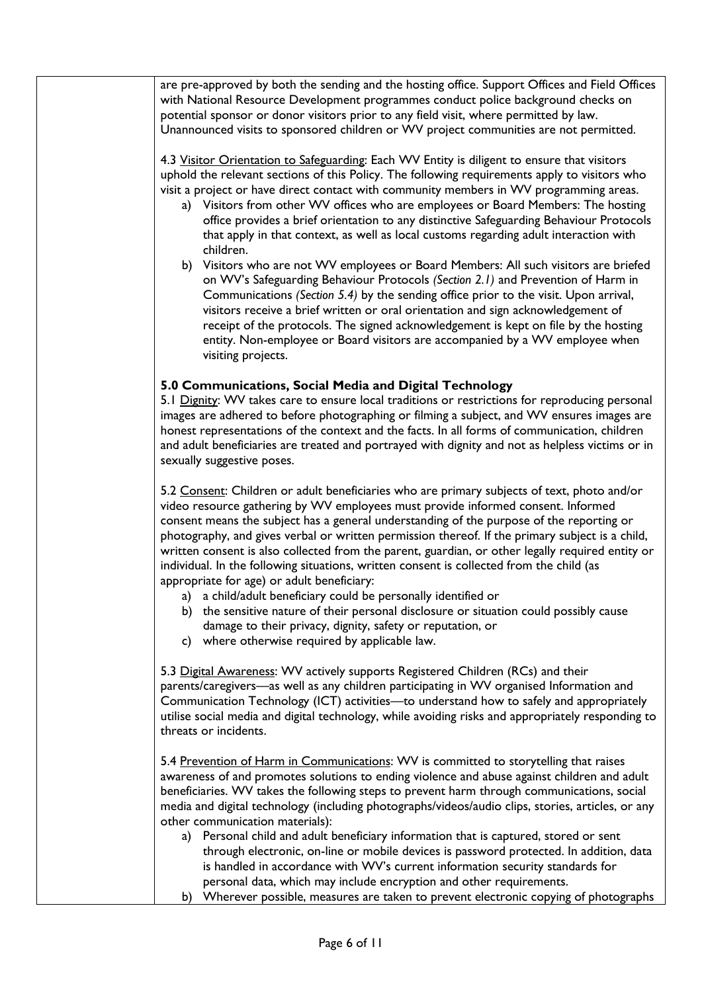are pre-approved by both the sending and the hosting office. Support Offices and Field Offices with National Resource Development programmes conduct police background checks on potential sponsor or donor visitors prior to any field visit, where permitted by law. Unannounced visits to sponsored children or WV project communities are not permitted.

4.3 Visitor Orientation to Safeguarding: Each WV Entity is diligent to ensure that visitors uphold the relevant sections of this Policy. The following requirements apply to visitors who visit a project or have direct contact with community members in WV programming areas.

- a) Visitors from other WV offices who are employees or Board Members: The hosting office provides a brief orientation to any distinctive Safeguarding Behaviour Protocols that apply in that context, as well as local customs regarding adult interaction with children.
- b) Visitors who are not WV employees or Board Members: All such visitors are briefed on WV's Safeguarding Behaviour Protocols *(Section 2.1)* and Prevention of Harm in Communications *(Section 5.4)* by the sending office prior to the visit. Upon arrival, visitors receive a brief written or oral orientation and sign acknowledgement of receipt of the protocols. The signed acknowledgement is kept on file by the hosting entity. Non-employee or Board visitors are accompanied by a WV employee when visiting projects.

## **5.0 Communications, Social Media and Digital Technology**

5.1 Dignity: WV takes care to ensure local traditions or restrictions for reproducing personal images are adhered to before photographing or filming a subject, and WV ensures images are honest representations of the context and the facts. In all forms of communication, children and adult beneficiaries are treated and portrayed with dignity and not as helpless victims or in sexually suggestive poses.

5.2 Consent: Children or adult beneficiaries who are primary subjects of text, photo and/or video resource gathering by WV employees must provide informed consent. Informed consent means the subject has a general understanding of the purpose of the reporting or photography, and gives verbal or written permission thereof. If the primary subject is a child, written consent is also collected from the parent, guardian, or other legally required entity or individual. In the following situations, written consent is collected from the child (as appropriate for age) or adult beneficiary:

- a) a child/adult beneficiary could be personally identified or
- b) the sensitive nature of their personal disclosure or situation could possibly cause damage to their privacy, dignity, safety or reputation, or
- c) where otherwise required by applicable law.

5.3 Digital Awareness: WV actively supports Registered Children (RCs) and their parents/caregivers—as well as any children participating in WV organised Information and Communication Technology (ICT) activities—to understand how to safely and appropriately utilise social media and digital technology, while avoiding risks and appropriately responding to threats or incidents.

5.4 Prevention of Harm in Communications: WV is committed to storytelling that raises awareness of and promotes solutions to ending violence and abuse against children and adult beneficiaries. WV takes the following steps to prevent harm through communications, social media and digital technology (including photographs/videos/audio clips, stories, articles, or any other communication materials):

- a) Personal child and adult beneficiary information that is captured, stored or sent through electronic, on-line or mobile devices is password protected. In addition, data is handled in accordance with WV's current information security standards for personal data, which may include encryption and other requirements.
- b) Wherever possible, measures are taken to prevent electronic copying of photographs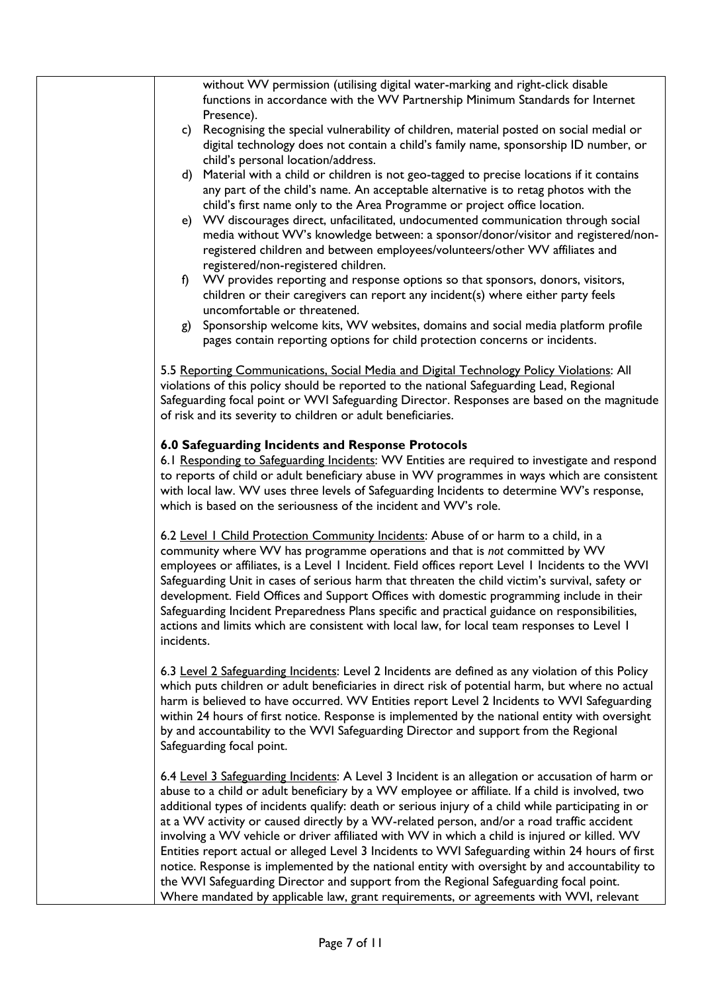|            | without WV permission (utilising digital water-marking and right-click disable<br>functions in accordance with the WV Partnership Minimum Standards for Internet                                                                                                                                                                                                                                                                                                                                                                                                                                                                                                                                                                                                                                                                                                                                    |
|------------|-----------------------------------------------------------------------------------------------------------------------------------------------------------------------------------------------------------------------------------------------------------------------------------------------------------------------------------------------------------------------------------------------------------------------------------------------------------------------------------------------------------------------------------------------------------------------------------------------------------------------------------------------------------------------------------------------------------------------------------------------------------------------------------------------------------------------------------------------------------------------------------------------------|
| c)         | Presence).<br>Recognising the special vulnerability of children, material posted on social medial or<br>digital technology does not contain a child's family name, sponsorship ID number, or                                                                                                                                                                                                                                                                                                                                                                                                                                                                                                                                                                                                                                                                                                        |
| d)         | child's personal location/address.<br>Material with a child or children is not geo-tagged to precise locations if it contains<br>any part of the child's name. An acceptable alternative is to retag photos with the                                                                                                                                                                                                                                                                                                                                                                                                                                                                                                                                                                                                                                                                                |
|            | child's first name only to the Area Programme or project office location.<br>e) WV discourages direct, unfacilitated, undocumented communication through social<br>media without WV's knowledge between: a sponsor/donor/visitor and registered/non-<br>registered children and between employees/volunteers/other WV affiliates and<br>registered/non-registered children.                                                                                                                                                                                                                                                                                                                                                                                                                                                                                                                         |
| f)         | WV provides reporting and response options so that sponsors, donors, visitors,<br>children or their caregivers can report any incident(s) where either party feels<br>uncomfortable or threatened.                                                                                                                                                                                                                                                                                                                                                                                                                                                                                                                                                                                                                                                                                                  |
| g)         | Sponsorship welcome kits, WV websites, domains and social media platform profile<br>pages contain reporting options for child protection concerns or incidents.                                                                                                                                                                                                                                                                                                                                                                                                                                                                                                                                                                                                                                                                                                                                     |
|            | 5.5 Reporting Communications, Social Media and Digital Technology Policy Violations: All<br>violations of this policy should be reported to the national Safeguarding Lead, Regional<br>Safeguarding focal point or WVI Safeguarding Director. Responses are based on the magnitude<br>of risk and its severity to children or adult beneficiaries.                                                                                                                                                                                                                                                                                                                                                                                                                                                                                                                                                 |
|            | 6.0 Safeguarding Incidents and Response Protocols<br>6.1 Responding to Safeguarding Incidents: WV Entities are required to investigate and respond<br>to reports of child or adult beneficiary abuse in WV programmes in ways which are consistent<br>with local law. WV uses three levels of Safeguarding Incidents to determine WV's response,<br>which is based on the seriousness of the incident and WV's role.                                                                                                                                                                                                                                                                                                                                                                                                                                                                                |
| incidents. | 6.2 Level 1 Child Protection Community Incidents: Abuse of or harm to a child, in a<br>community where WV has programme operations and that is not committed by WV<br>employees or affiliates, is a Level 1 Incident. Field offices report Level 1 Incidents to the WVI<br>Safeguarding Unit in cases of serious harm that threaten the child victim's survival, safety or<br>development. Field Offices and Support Offices with domestic programming include in their<br>Safeguarding Incident Preparedness Plans specific and practical guidance on responsibilities,<br>actions and limits which are consistent with local law, for local team responses to Level I                                                                                                                                                                                                                             |
|            | 6.3 Level 2 Safeguarding Incidents: Level 2 Incidents are defined as any violation of this Policy<br>which puts children or adult beneficiaries in direct risk of potential harm, but where no actual<br>harm is believed to have occurred. WV Entities report Level 2 Incidents to WVI Safeguarding<br>within 24 hours of first notice. Response is implemented by the national entity with oversight<br>by and accountability to the WVI Safeguarding Director and support from the Regional<br>Safeguarding focal point.                                                                                                                                                                                                                                                                                                                                                                         |
|            | 6.4 Level 3 Safeguarding Incidents: A Level 3 Incident is an allegation or accusation of harm or<br>abuse to a child or adult beneficiary by a WV employee or affiliate. If a child is involved, two<br>additional types of incidents qualify: death or serious injury of a child while participating in or<br>at a WV activity or caused directly by a WV-related person, and/or a road traffic accident<br>involving a WV vehicle or driver affiliated with WV in which a child is injured or killed. WV<br>Entities report actual or alleged Level 3 Incidents to WVI Safeguarding within 24 hours of first<br>notice. Response is implemented by the national entity with oversight by and accountability to<br>the WVI Safeguarding Director and support from the Regional Safeguarding focal point.<br>Where mandated by applicable law, grant requirements, or agreements with WVI, relevant |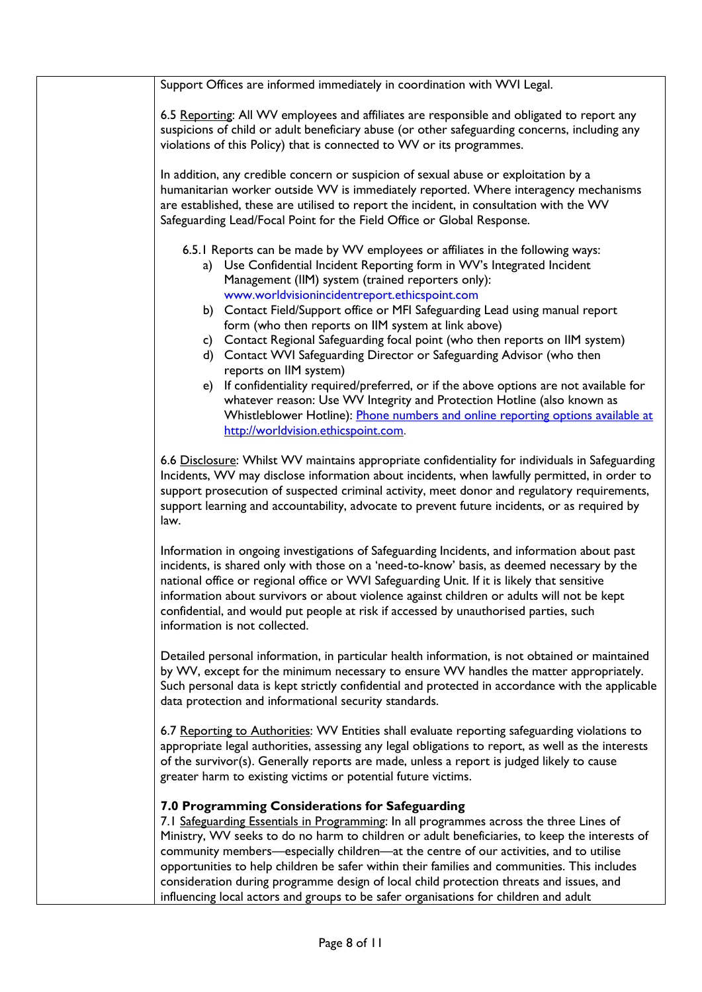| Support Offices are informed immediately in coordination with WVI Legal.                                                                                                                                                                                                                                                                                                                                                                                                                                                                                                                                                |
|-------------------------------------------------------------------------------------------------------------------------------------------------------------------------------------------------------------------------------------------------------------------------------------------------------------------------------------------------------------------------------------------------------------------------------------------------------------------------------------------------------------------------------------------------------------------------------------------------------------------------|
| 6.5 Reporting: All WV employees and affiliates are responsible and obligated to report any<br>suspicions of child or adult beneficiary abuse (or other safeguarding concerns, including any<br>violations of this Policy) that is connected to WV or its programmes.                                                                                                                                                                                                                                                                                                                                                    |
| In addition, any credible concern or suspicion of sexual abuse or exploitation by a<br>humanitarian worker outside WV is immediately reported. Where interagency mechanisms<br>are established, these are utilised to report the incident, in consultation with the WV<br>Safeguarding Lead/Focal Point for the Field Office or Global Response.                                                                                                                                                                                                                                                                        |
| 6.5.1 Reports can be made by WV employees or affiliates in the following ways:<br>a) Use Confidential Incident Reporting form in WV's Integrated Incident<br>Management (IIM) system (trained reporters only):<br>www.worldvisionincidentreport.ethicspoint.com<br>b) Contact Field/Support office or MFI Safeguarding Lead using manual report                                                                                                                                                                                                                                                                         |
| form (who then reports on IIM system at link above)<br>c) Contact Regional Safeguarding focal point (who then reports on IIM system)<br>d) Contact WVI Safeguarding Director or Safeguarding Advisor (who then<br>reports on IIM system)<br>e) If confidentiality required/preferred, or if the above options are not available for                                                                                                                                                                                                                                                                                     |
| whatever reason: Use WV Integrity and Protection Hotline (also known as<br>Whistleblower Hotline): Phone numbers and online reporting options available at<br>http://worldvision.ethicspoint.com.                                                                                                                                                                                                                                                                                                                                                                                                                       |
| 6.6 Disclosure: Whilst WV maintains appropriate confidentiality for individuals in Safeguarding<br>Incidents, WV may disclose information about incidents, when lawfully permitted, in order to<br>support prosecution of suspected criminal activity, meet donor and regulatory requirements,<br>support learning and accountability, advocate to prevent future incidents, or as required by<br>law.                                                                                                                                                                                                                  |
| Information in ongoing investigations of Safeguarding Incidents, and information about past<br>incidents, is shared only with those on a 'need-to-know' basis, as deemed necessary by the<br>national office or regional office or WVI Safeguarding Unit. If it is likely that sensitive<br>information about survivors or about violence against children or adults will not be kept<br>confidential, and would put people at risk if accessed by unauthorised parties, such<br>information is not collected.                                                                                                          |
| Detailed personal information, in particular health information, is not obtained or maintained<br>by WV, except for the minimum necessary to ensure WV handles the matter appropriately.<br>Such personal data is kept strictly confidential and protected in accordance with the applicable<br>data protection and informational security standards.                                                                                                                                                                                                                                                                   |
| 6.7 Reporting to Authorities: WV Entities shall evaluate reporting safeguarding violations to<br>appropriate legal authorities, assessing any legal obligations to report, as well as the interests<br>of the survivor(s). Generally reports are made, unless a report is judged likely to cause<br>greater harm to existing victims or potential future victims.                                                                                                                                                                                                                                                       |
| 7.0 Programming Considerations for Safeguarding<br>7.1 Safeguarding Essentials in Programming: In all programmes across the three Lines of<br>Ministry, WV seeks to do no harm to children or adult beneficiaries, to keep the interests of<br>community members—especially children—at the centre of our activities, and to utilise<br>opportunities to help children be safer within their families and communities. This includes<br>consideration during programme design of local child protection threats and issues, and<br>influencing local actors and groups to be safer organisations for children and adult |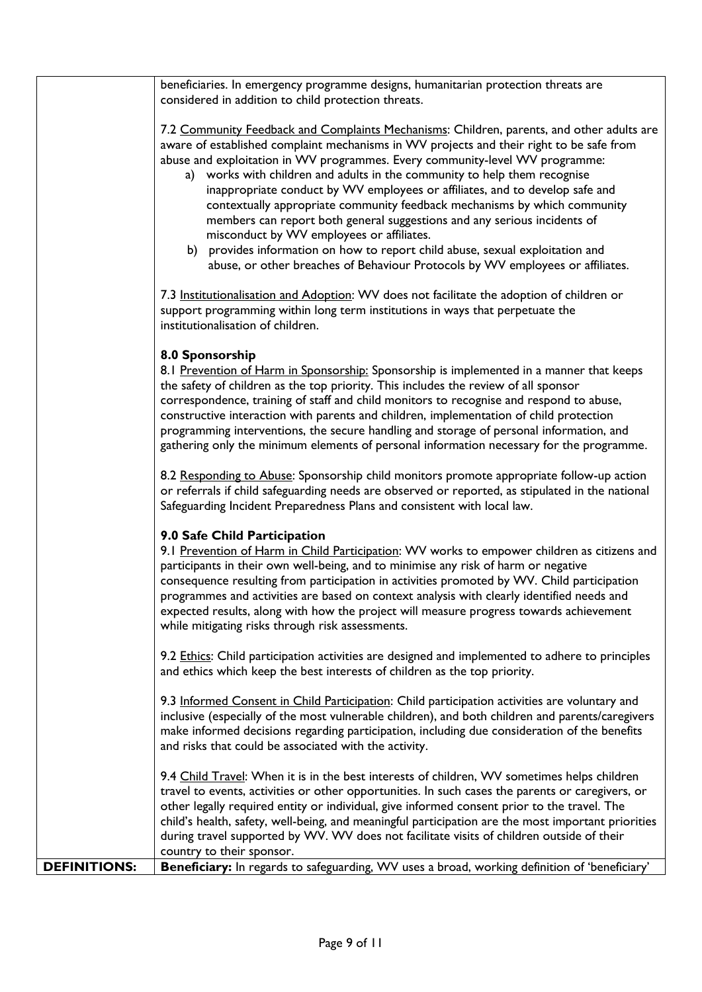|                     | beneficiaries. In emergency programme designs, humanitarian protection threats are<br>considered in addition to child protection threats.                                                                                                                                                                                                                                                                                                                                                                                                                                                                                                                                                                                                                                                                   |
|---------------------|-------------------------------------------------------------------------------------------------------------------------------------------------------------------------------------------------------------------------------------------------------------------------------------------------------------------------------------------------------------------------------------------------------------------------------------------------------------------------------------------------------------------------------------------------------------------------------------------------------------------------------------------------------------------------------------------------------------------------------------------------------------------------------------------------------------|
|                     | 7.2 Community Feedback and Complaints Mechanisms: Children, parents, and other adults are<br>aware of established complaint mechanisms in WV projects and their right to be safe from<br>abuse and exploitation in WV programmes. Every community-level WV programme:<br>a) works with children and adults in the community to help them recognise<br>inappropriate conduct by WV employees or affiliates, and to develop safe and<br>contextually appropriate community feedback mechanisms by which community<br>members can report both general suggestions and any serious incidents of<br>misconduct by WV employees or affiliates.<br>b) provides information on how to report child abuse, sexual exploitation and<br>abuse, or other breaches of Behaviour Protocols by WV employees or affiliates. |
|                     | 7.3 Institutionalisation and Adoption: WV does not facilitate the adoption of children or<br>support programming within long term institutions in ways that perpetuate the<br>institutionalisation of children.                                                                                                                                                                                                                                                                                                                                                                                                                                                                                                                                                                                             |
|                     | 8.0 Sponsorship<br>8.1 Prevention of Harm in Sponsorship: Sponsorship is implemented in a manner that keeps<br>the safety of children as the top priority. This includes the review of all sponsor<br>correspondence, training of staff and child monitors to recognise and respond to abuse,<br>constructive interaction with parents and children, implementation of child protection<br>programming interventions, the secure handling and storage of personal information, and<br>gathering only the minimum elements of personal information necessary for the programme.                                                                                                                                                                                                                              |
|                     | 8.2 Responding to Abuse: Sponsorship child monitors promote appropriate follow-up action<br>or referrals if child safeguarding needs are observed or reported, as stipulated in the national<br>Safeguarding Incident Preparedness Plans and consistent with local law.                                                                                                                                                                                                                                                                                                                                                                                                                                                                                                                                     |
|                     | 9.0 Safe Child Participation<br>9.1 Prevention of Harm in Child Participation: WV works to empower children as citizens and<br>participants in their own well-being, and to minimise any risk of harm or negative<br>consequence resulting from participation in activities promoted by WV. Child participation<br>programmes and activities are based on context analysis with clearly identified needs and<br>expected results, along with how the project will measure progress towards achievement<br>while mitigating risks through risk assessments.                                                                                                                                                                                                                                                  |
|                     | 9.2 Ethics: Child participation activities are designed and implemented to adhere to principles<br>and ethics which keep the best interests of children as the top priority.                                                                                                                                                                                                                                                                                                                                                                                                                                                                                                                                                                                                                                |
|                     | 9.3 Informed Consent in Child Participation: Child participation activities are voluntary and<br>inclusive (especially of the most vulnerable children), and both children and parents/caregivers<br>make informed decisions regarding participation, including due consideration of the benefits<br>and risks that could be associated with the activity.                                                                                                                                                                                                                                                                                                                                                                                                                                                  |
|                     | 9.4 Child Travel: When it is in the best interests of children, WV sometimes helps children<br>travel to events, activities or other opportunities. In such cases the parents or caregivers, or<br>other legally required entity or individual, give informed consent prior to the travel. The<br>child's health, safety, well-being, and meaningful participation are the most important priorities<br>during travel supported by WV. WV does not facilitate visits of children outside of their<br>country to their sponsor.                                                                                                                                                                                                                                                                              |
| <b>DEFINITIONS:</b> | Beneficiary: In regards to safeguarding, WV uses a broad, working definition of 'beneficiary'                                                                                                                                                                                                                                                                                                                                                                                                                                                                                                                                                                                                                                                                                                               |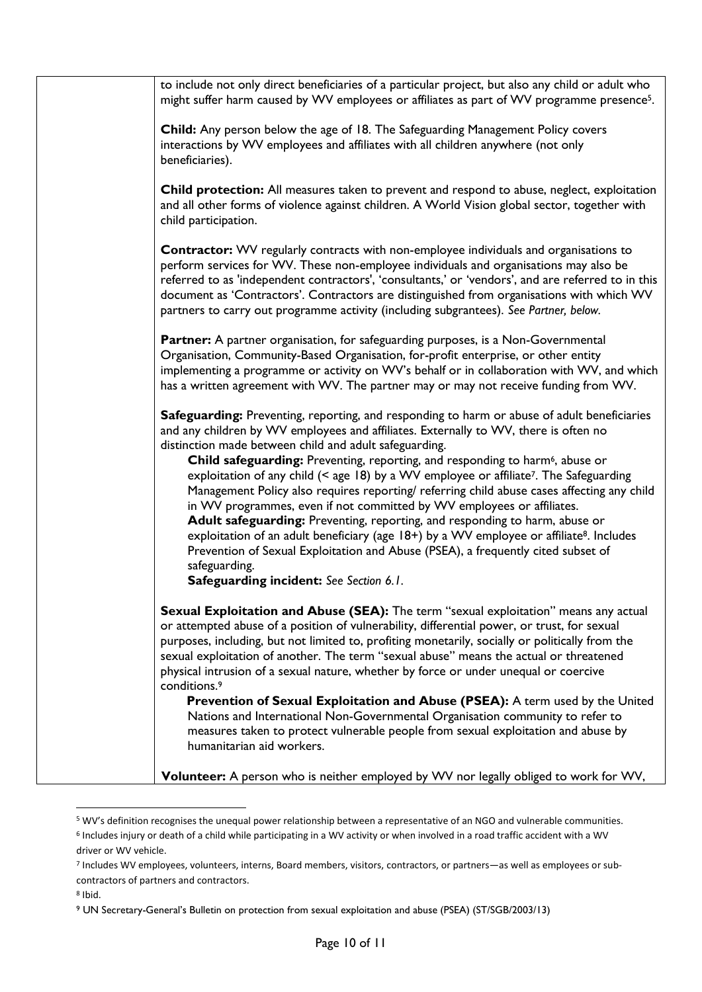| to include not only direct beneficiaries of a particular project, but also any child or adult who<br>might suffer harm caused by WV employees or affiliates as part of WV programme presence <sup>5</sup> .                                                                                                                                                                                                                                                                                                                                                                                                                                                                                                                                                                                                                                                                                                                                                            |
|------------------------------------------------------------------------------------------------------------------------------------------------------------------------------------------------------------------------------------------------------------------------------------------------------------------------------------------------------------------------------------------------------------------------------------------------------------------------------------------------------------------------------------------------------------------------------------------------------------------------------------------------------------------------------------------------------------------------------------------------------------------------------------------------------------------------------------------------------------------------------------------------------------------------------------------------------------------------|
| Child: Any person below the age of 18. The Safeguarding Management Policy covers<br>interactions by WV employees and affiliates with all children anywhere (not only<br>beneficiaries).                                                                                                                                                                                                                                                                                                                                                                                                                                                                                                                                                                                                                                                                                                                                                                                |
| Child protection: All measures taken to prevent and respond to abuse, neglect, exploitation<br>and all other forms of violence against children. A World Vision global sector, together with<br>child participation.                                                                                                                                                                                                                                                                                                                                                                                                                                                                                                                                                                                                                                                                                                                                                   |
| <b>Contractor:</b> WV regularly contracts with non-employee individuals and organisations to<br>perform services for WV. These non-employee individuals and organisations may also be<br>referred to as 'independent contractors', 'consultants,' or 'vendors', and are referred to in this<br>document as 'Contractors'. Contractors are distinguished from organisations with which WV<br>partners to carry out programme activity (including subgrantees). See Partner, below.                                                                                                                                                                                                                                                                                                                                                                                                                                                                                      |
| Partner: A partner organisation, for safeguarding purposes, is a Non-Governmental<br>Organisation, Community-Based Organisation, for-profit enterprise, or other entity<br>implementing a programme or activity on WV's behalf or in collaboration with WV, and which<br>has a written agreement with WV. The partner may or may not receive funding from WV.                                                                                                                                                                                                                                                                                                                                                                                                                                                                                                                                                                                                          |
| Safeguarding: Preventing, reporting, and responding to harm or abuse of adult beneficiaries<br>and any children by WV employees and affiliates. Externally to WV, there is often no<br>distinction made between child and adult safeguarding.<br>Child safeguarding: Preventing, reporting, and responding to harm <sup>6</sup> , abuse or<br>exploitation of any child (< age 18) by a WV employee or affiliate <sup>7</sup> . The Safeguarding<br>Management Policy also requires reporting/ referring child abuse cases affecting any child<br>in WV programmes, even if not committed by WV employees or affiliates.<br>Adult safeguarding: Preventing, reporting, and responding to harm, abuse or<br>exploitation of an adult beneficiary (age 18+) by a WV employee or affiliate <sup>8</sup> . Includes<br>Prevention of Sexual Exploitation and Abuse (PSEA), a frequently cited subset of<br>safeguarding.<br><b>Safeguarding incident:</b> See Section 6.1. |
| Sexual Exploitation and Abuse (SEA): The term "sexual exploitation" means any actual<br>or attempted abuse of a position of vulnerability, differential power, or trust, for sexual<br>purposes, including, but not limited to, profiting monetarily, socially or politically from the<br>sexual exploitation of another. The term "sexual abuse" means the actual or threatened<br>physical intrusion of a sexual nature, whether by force or under unequal or coercive<br>conditions. <sup>9</sup>                                                                                                                                                                                                                                                                                                                                                                                                                                                                   |
| Prevention of Sexual Exploitation and Abuse (PSEA): A term used by the United<br>Nations and International Non-Governmental Organisation community to refer to<br>measures taken to protect vulnerable people from sexual exploitation and abuse by<br>humanitarian aid workers.                                                                                                                                                                                                                                                                                                                                                                                                                                                                                                                                                                                                                                                                                       |
| Volunteer: A person who is neither employed by WV nor legally obliged to work for WV,                                                                                                                                                                                                                                                                                                                                                                                                                                                                                                                                                                                                                                                                                                                                                                                                                                                                                  |

<sup>1</sup> <sup>5</sup> WV's definition recognises the unequal power relationship between a representative of an NGO and vulnerable communities.

<sup>&</sup>lt;sup>6</sup> Includes injury or death of a child while participating in a WV activity or when involved in a road traffic accident with a WV driver or WV vehicle.

<sup>7</sup> Includes WV employees, volunteers, interns, Board members, visitors, contractors, or partners—as well as employees or subcontractors of partners and contractors.

<sup>8</sup> Ibid.

<sup>9</sup> UN Secretary-General's Bulletin on protection from sexual exploitation and abuse (PSEA) (ST/SGB/2003/13)